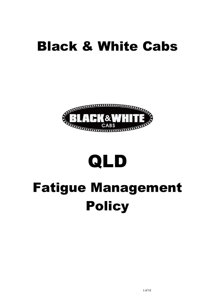### Black & White Cabs



# QLD

## Fatigue Management Policy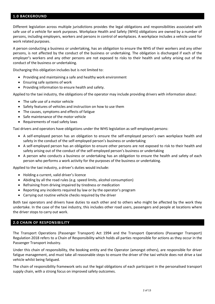#### **1.0 BACKGROUND**

Different legislation across multiple jurisdictions provides the legal obligations and responsibilities associated with safe use of a vehicle for work purposes. Workplace Health and Safety (WHS) obligations are owned by a number of persons, including employers, workers and persons in control of workplaces. A workplace includes a vehicle used for work related purposes.

A person conducting a business or undertaking, has an obligation to ensure the WHS of their workers and any other persons, is not affected by the conduct of the business or undertaking. The obligation is discharged if each of the employer's workers and any other persons are not exposed to risks to their health and safety arising out of the conduct of the business or undertaking.

Discharging this obligation includes but is not limited to:

- Providing and maintaining a safe and healthy work environment
- Ensuring safe systems of work
- Providing information to ensure health and safety.

Applied to the taxi industry, the obligations of the operator may include providing drivers with information about:

- The safe use of a motor vehicle
- Safety features of vehicles and instruction on how to use them
- The causes, symptoms and effects of fatigue
- Safe maintenance of the motor vehicle
- Requirements of road safety laws

Taxi drivers and operators have obligations under the WHS legislation as self-employed persons:

- A self-employed person has an obligation to ensure the self-employed person's own workplace health and safety in the conduct of the self-employed person's business or undertaking
- A self-employed person has an obligation to ensure other persons are not exposed to risk to their health and safety arising out of the conduct of the self-employed person's business or undertaking
- A person who conducts a business or undertaking has an obligation to ensure the health and safety of each person who performs a work activity for the purposes of the business or undertaking.

Applied to the taxi industry, a driver's duties would include:

- Holding a current, valid driver's licence
- Abiding by all the road rules (e.g. speed limits, alcohol consumption)
- Refraining from driving impaired by tiredness or medication
- Reporting any incidents required by law or by the operator's program
- Carrying out routine vehicle checks required by the driver

Both taxi operators and drivers have duties to each other and to others who might be affected by the work they undertake. In the case of the taxi industry, this includes other road users, passengers and people at locations where the driver stops to carry out work.

#### **2.0 CHAIN OF RESPONSIBILITY**

The Transport Operations (Passenger Transport) Act 1994 and the Transport Operations (Passenger Transport) Regulation 2018 refers to a Chain of Responsibility which holds all parties responsible for actions as they occur in the Passenger Transport industry.

Under this chain of responsibility, the booking entity and the Operator (amongst others), are responsible for driver fatigue management, and must take all reasonable steps to ensure the driver of the taxi vehicle does not drive a taxi vehicle whilst being fatigued.

The chain of responsibility framework sets out the legal obligations of each participant in the personalised transport supply chain, with a strong focus on improved safety outcomes.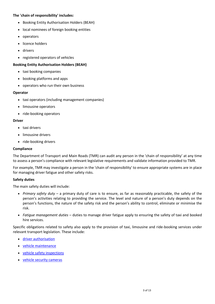#### **The 'chain of responsibility' includes:**

- Booking Entity Authorisation Holders (BEAH)
- local nominees of foreign booking entities
- operators
- licence holders
- drivers
- registered operators of vehicles

#### **Booking Entity Authorisation Holders (BEAH)**

- taxi booking companies
- booking platforms and apps
- operators who run their own business

#### **Operator**

- taxi operators (including management companies)
- limousine operators
- ride-booking operators

#### **Driver**

- taxi drivers
- limousine drivers
- ride-booking drivers

#### **Compliance**

The Department of Transport and Main Roads (TMR) can audit any person in the 'chain of responsibility' at any time to assess a person's compliance with relevant legislative requirements and validate information provided to TMR.

For example, TMR may investigate a person in the 'chain of responsibility' to ensure appropriate systems are in place for managing driver fatigue and other safety risks.

#### **Safety duties**

The main safety duties will include:

- *Primary safety duty* a primary duty of care is to ensure, as far as reasonably practicable, the safety of the person's activities relating to providing the service. The level and nature of a person's duty depends on the person's functions, the nature of the safety risk and the person's ability to control, eliminate or minimise the risk.
- *Fatigue management duties* duties to manage driver fatigue apply to ensuring the safety of taxi and booked hire services.

Specific obligations related to safety also apply to the provision of taxi, limousine and ride-booking services under relevant transport legislation. These include:

- [driver authorisation](https://www.tmr.qld.gov.au/Licensing/Passenger-transport-driver-authorisation/About-passenger-transport-driver-authorisations)
- [vehicle maintenance](https://www.tmr.qld.gov.au/Licensing/Passenger-transport-driver-authorisation/Information-bulletins/Vehicle-related.aspx)
- [vehicle safety inspections](https://www.tmr.qld.gov.au/business-industry/Taxi-and-limousine/Industry-information/Industry-regulations/COI-requirements-for-PT)
- [vehicle security cameras](https://www.tmr.qld.gov.au/business-industry/Taxi-and-limousine/Industry-information/Taxi/Personalised-transport-vehicle-security-cameras)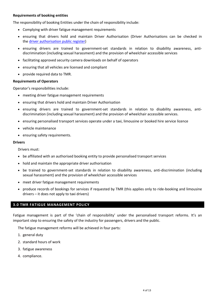#### **Requirements of booking entities**

The responsibility of booking Entities under the chain of responsibility include:

- Complying with driver fatigue management requirements
- ensuring that drivers hold and maintain Driver Authorisation (Driver Authorisations can be checked in the [driver authorisation public register\)](https://www.tmr.qld.gov.au/business-industry/Taxi-and-limousine/Industry-information/Personalised-transport-register)
- ensuring drivers are trained to government-set standards in relation to disability awareness, antidiscrimination (including sexual harassment) and the provision of wheelchair accessible services
- facilitating approved security camera downloads on behalf of operators
- ensuring that all vehicles are licensed and compliant
- provide required data to TMR.

#### **Requirements of Operators**

Operator's responsibilities include:

- meeting driver fatigue management requirements
- ensuring that drivers hold and maintain Driver Authorisation
- ensuring drivers are trained to government-set standards in relation to disability awareness, antidiscrimination (including sexual harassment) and the provision of wheelchair accessible services.
- ensuring personalised transport services operate under a taxi, limousine or booked hire service licence
- vehicle maintenance
- ensuring safety requirements.

#### **Drivers**

Drivers must:

- be affiliated with an authorised booking entity to provide personalised transport services
- hold and maintain the appropriate driver authorisation
- be trained to government-set standards in relation to disability awareness, anti-discrimination (including sexual harassment) and the provision of wheelchair accessible services
- meet driver fatigue management requirements
- produce records of bookings for services if requested by TMR (this applies only to ride-booking and limousine drivers – it does not apply to taxi drivers)

#### **3.0 TMR FATIGUE MANAGEMENT POLICY**

Fatigue management is part of the 'chain of responsibility' under the personalised transport reforms. It's an important step to ensuring the safety of the industry for passengers, drivers and the public.

The fatigue management reforms will be achieved in four parts:

- 1. general duty
- 2. standard hours of work
- 3. fatigue awareness
- 4. compliance.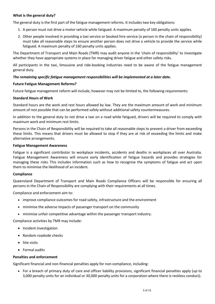#### **What is the general duty?**

The general duty is the first part of the fatigue management reforms. It includes two key obligations:

- 1. A person must not drive a motor vehicle while fatigued. A maximum penalty of 160 penalty units applies.
- 2. Other people involved in providing a taxi service or booked hire service (a person in the chain of responsibility) must take all reasonable steps to ensure another person does not drive a vehicle to provide the service while fatigued. A maximum penalty of 160 penalty units applies.

The Department of Transport and Main Roads (TMR) may audit anyone in the 'chain of responsibility' to investigate whether they have appropriate systems in place for managing driver fatigue and other safety risks.

All participants in the taxi, limousine and ride‐booking industries need to be aware of the fatigue management general duty.

#### *The remaining specific fatigue management responsibilities will be implemented at a later date.*

#### **Future Fatigue Management Reforms?**

Future fatigue management reform will include, however may not be limited to, the following requirements:

#### **Standard Hours of Work**

Standard hours are the work and rest hours allowed by law. They are the maximum amount of work and minimum amount of rest possible that can be performed safely without additional safety countermeasures.

In addition to the general duty to not drive a taxi on a road while fatigued, drivers will be required to comply with maximum work and minimum rest limits.

Persons in the Chain of Responsibility will be required to take all reasonable steps to prevent a driver from exceeding these limits. This means that drivers must be allowed to stop if they are at risk of exceeding the limits and make alternative arrangements.

#### **Fatigue Management Awareness**

Fatigue is a significant contributor to workplace incidents, accidents and deaths in workplaces all over Australia. Fatigue Management Awareness will ensure early identification of fatigue hazards and provides strategies for managing these risks. This includes information such as how to recognise the symptoms of fatigue and act upon them to minimise the likelihood of an incident.

#### **Compliance**

Queensland Department of Transport and Main Roads Compliance Officers will be responsible for ensuring all persons in the Chain of Responsibility are complying with their requirements at all times.

Compliance and enforcement aim to:

- improve compliance outcomes for road safety, infrastructure and the environment
- minimise the adverse impacts of passenger transport on the community
- minimise unfair competitive advantage within the passenger transport industry.

Compliance activities by TMR may include:

- Incident investigation
- Random roadside checks
- Site visits
- Formal audits

#### **Penalties and enforcement**

Significant financial and non-financial penalties apply for non-compliance, including:

• For a breach of primary duty of care and officer liability provisions, significant financial penalties apply (up to 3,000 penalty units for an individual or 30,000 penalty units for a corporation where there is reckless conduct).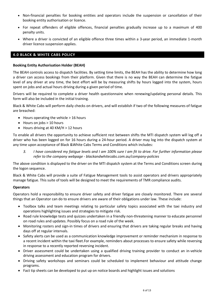- Non-financial penalties for booking entities and operators include the suspension or cancellation of their booking entity authorisation or licence.
- For repeat offenders of eligible offences, financial penalties gradually increase up to a maximum of 400 penalty units.
- Where a driver is convicted of an eligible offence three times within a 3-year period, an immediate 1-month driver licence suspension applies.

#### **4.0 BLACK & WHITE CABS POLICY**

#### **Booking Entity Authorisation Holder (BEAH)**

The BEAH controls access to dispatch facilities. By setting time limits, the BEAH has the ability to determine how long a driver can access bookings from their platform. Given that there is no way the BEAH can determine the fatigue level of any driver at any time, the best effort will be by measuring shifts by hours logged into the system, hours spent on jobs and actual hours driving during a given period of time.

Drivers will be required to complete a driver health questionnaire when renewing/updating personal details. This form will also be included in the initial training.

Black & White Cabs will perform daily checks on drivers, and will establish if two of the following measures of fatigue are breached:

- Hours operating the vehicle > 16 hours
- Hours on jobs > 10 hours
- Hours driving at 40 KM/H > 12 hours

To enable all drivers the opportunity to achieve sufficient rest between shifts the MTI dispatch system will log off a driver who has been logged on for 16 hours during a 24-hour period. A driver may log into the dispatch system at any time upon acceptance of Black &White Cabs Terms and Conditions which includes:

*3. I have considered my fatigue levels and I am 100% sure I am fit to drive. For further information please refer to the company webpage - blackandwhitecabs.com.au/company-policies*

The above condition is displayed to the driver on the MTI dispatch system at the Terms and Conditions screen during the logon sequence.

Black & White Cabs will provide a suite of Fatigue Management tools to assist operators and drivers appropriately manage fatigue. This suite of tools will be designed to meet the requirements of TMR compliance audits.

#### **Operators**

Operators hold a responsibility to ensure driver safety and driver fatigue are closely monitored. There are several things that an Operator can do to ensure drivers are aware of their obligations under law. These include:

- Toolbox talks and team meetings relating to particular safety topics associated with the taxi industry and operations highlighting issues and strategies to mitigate risk.
- Road rule knowledge tests and quizzes undertaken in a friendly non-threatening manner to educate personnel on road rules and updates. Possibly focus on a road rule of the week.
- Monitoring rosters and sign-in times of drivers and ensuring that drivers are taking regular breaks and having days off at regular intervals.
- Safety alerts can be used as a communication knowledge improvement or reminder mechanism in response to a recent incident within the taxi fleet.For example, reminders about processes to ensure safety while reversing in response to a recently reported reversing incident.
- Driver assessment could be undertaken using a qualified driving training provider to conduct an in-vehicle driving assessment and education program for drivers.
- Driving safety workshops and seminars could be scheduled to implement behaviour and attitude change programs.
- Fact tip sheets can be developed to put up on notice boards and highlight issues and solutions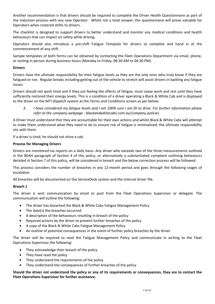Another recommendation is that drivers should be required to complete the Driver Health Questionnaire as part of the induction process with any new Operator. Whilst not a total answer, the questionnaire will prove valuable for Operators when rostered shifts to drivers.

The checklist is designed to support drivers to better understand and monitor any medical conditions and health behaviours that can impact on safety while driving.

Operators should also introduce a pre-shift Fatigue Template for drivers to complete and hand in at the commencement of any shift.

Sample templates of both forms can be obtained by contacting the Fleet Operations Department via email, phone, or visiting in person during business hours (Monday to Friday, 08:30 AM to 04:30 PM).

#### **Drivers**

Drivers have the ultimate responsibility for their fatigue levels as they are the only ones who truly know if they are fatigued or not. Regular breaks including getting out of the vehicle to stretch will assist drivers in battling any fatigue issues.

Drivers should not work tired and if they are feeling the effects of fatigue, must cease work and rest until they have sufficiently restored their energy levels. This is a condition of a driver operating a Black & White Cab and is displayed to the driver on the MTI dispatch system at the Terms and Conditions screen as per below:

*3. I have considered my fatigue levels and I am 100% sure I am fit to drive. For further information please refer to the company webpage - blackandwhitecabs.com.au/company-policies*

A Driver must understand that they are accountable for their own actions and whilst Black & White Cabs will attempt to make them understand what they need to do to ensure risk of fatigue is minimalized; the ultimate responsibility sits with them.

If a driver is tired, he should not drive a cab.

#### **Process for Managing Drivers**

Drivers are monitored via reports on a daily basis. Any driver who exceeds two of the three measurements outlined in the BEAH paragraph of Section 4 of this policy, or alternatively a substantiated complaint outlining behaviours detailed in Section 7 of this policy, will be considered in breach and the below correction process will be followed.

This process considers the number of breaches in any 12-month period and goes through the following stages of escalation.

All breaches will be documented on the ServiceDesk system and the internal driver file.

#### **Breach 1**

The driver is sent communication by email or post from the Fleet Operations Supervisor or delegate. The communication will outline the following:

- The driver has breached the Black & White Cabs Fatigue Management Policy
- The date(s) the breaches occurred
- A description of the behaviours resulting in breach of the policy
- Required actions by the driver to prevent further breaches of the policy
- A copy of the Black & White Cabs Fatigue Management Policy
- An outline of potential consequences in the event of further policy breaches by the driver

The driver will be required to read the Fatigue Management Policy and communicate in writing to the Fleet Operations Supervisor the following:

- They acknowledge their breach of the policy
- They have read the policy
- They understand the requirements of the policy
- They understand the consequences of further breaches of the policy

**Should the driver not understand the policy or any of its requirements or consequences, they are to contact the Fleet Operations Supervisor for further assistance.**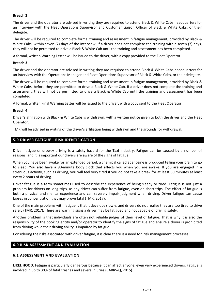#### **Breach 2**

The driver and the operator are advised in writing they are required to attend Black & White Cabs headquarters for an interview with the Fleet Operations Supervisor and Customer Liaison Officer of Black & White Cabs, or their delegate.

The driver will be required to complete formal training and assessment in fatigue management, provided by Black & White Cabs, within seven (7) days of the interview. If a driver does not complete the training within seven (7) days, they will not be permitted to drive a Black & White Cab until the training and assessment has been completed.

A formal, written Warning Letter will be issued to the driver, with a copy provided to the Fleet Operator.

#### **Breach 3**

The driver and the operator are advised in writing they are required to attend Black & White Cabs headquarters for an interview with the Operations Manager and Fleet Operations Supervisor of Black & White Cabs, or their delegate.

The driver will be required to complete formal training and assessment in fatigue management, provided by Black & White Cabs, before they are permitted to drive a Black & White Cab. If a driver does not complete the training and assessment, they will not be permitted to drive a Black & White Cab until the training and assessment has been completed.

A formal, written Final Warning Letter will be issued to the driver, with a copy sent to the Fleet Operator.

#### **Breach 4**

Driver's affiliation with Black & White Cabs is withdrawn, with a written notice given to both the driver and the Fleet Operator.

TMR will be advised in writing of the driver's affiliation being withdrawn and the grounds for withdrawal.

#### **5.0 DRIVER FATIGUE - RISK IDENTIFICATION**

Driver fatigue or drowsy driving is a safety hazard for the Taxi industry. Fatigue can be caused by a number of reasons, and it is important our drivers are aware of the signs of fatigue.

When you have been awake for an extended period, a chemical called adenosine is produced telling your brain to go to sleep. You also have a 90-minute body clock that affects you when you are awake. If you are engaged in a strenuous activity, such as driving, you will feel very tired if you do not take a break for at least 30 minutes at least every 2 hours of driving.

Driver fatigue is a term sometimes used to describe the experience of being sleepy or tired. Fatigue is not just a problem for drivers on long trips, as any driver can suffer from fatigue, even on short trips. The effect of fatigue is both a physical and mental experience and can severely impair judgment when driving. Driver fatigue can cause lapses in concentration that may prove fatal (TMR, 2017).

One of the main problems with fatigue is that it develops slowly, and drivers do not realise they are too tired to drive safely (TMR, 2017). There are warning signs a driver may be fatigued and not capable of driving safely.

Another problem is that individuals are often not reliable judges of their level of fatigue. That is why it is also the responsibility of the booking entity and/or operator to identify the signs of fatigue and ensure a driver is prohibited from driving while their driving ability is impaired by fatigue.

Considering the risks associated with driver fatigue, it is clear there is a need for risk management processes.

#### **6.0 RISK ASSESSMENT AND EVALUATION**

#### **6.1 ASSESSMENT AND EVALUATION**

**LIKELIHOOD:** Fatigue is particularly dangerous because it can affect anyone, even very experienced drivers. Fatigue is involved in up to 30% of fatal crashes and severe injuries (CARRS-Q, 2015).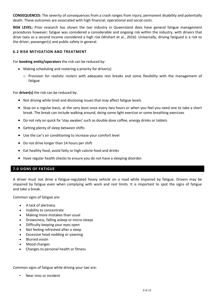**CONSEQUENCES:** The severity of consequences from a crash ranges from injury, permanent disability and potentially death. These outcomes are associated with high financial, operational and social costs.

**RISK LEVEL:** Prior research has shown the taxi industry in Queensland does have general fatigue management procedures however; fatigue was considered a considerable and ongoing risk within the industry, with drivers that drive taxis as a second income considered a high risk (Wishart et al., 2016). Universally, driving fatigued is a risk to the driver, passenger(s) and public safety in general.

#### **6.2 RISK MITIGATION AND TREATMENT**

For **booking entity/operators** the risk can be reduced by:

- Making scheduling and rostering a priority for driver(s)
	- o Provision for realistic rosters with adequate rest breaks and some flexibility with the management of fatigue

For **driver(s)** the risk can be reduced by:

- Not driving while tired and disclosing issues that may affect fatigue levels
- Stop on a regular basis, at the very least once every two hours or when you feel you need one to take a short break. The break can include walking around, doing some light exercise or some breathing exercises
- Do not rely on quick fix 'stay awakes' such as double dose coffee, energy drinks or tablets
- Getting plenty of sleep between shifts
- Use the car's air conditioning to increase your comfort level
- Do not drive longer than 14 hours per shift
- Eat healthy food, avoid fatty or high calorie food and drinks
- Have regular health checks to ensure you do not have a sleeping disorder.

#### **7.0 SIGNS OF FATIGUE**

A driver must not drive a fatigue-regulated heavy vehicle on a road while impaired by fatigue. Drivers may be impaired by fatigue even when complying with work and rest limits. It is important to spot the signs of fatigue and take a break.

Common signs of fatigue are:

- A lack of alertness
- Inability to concentrate
- Making more mistakes than usual
- Drowsiness, falling asleep or micro-sleeps
- Difficulty keeping your eyes open
- Not feeling refreshed after a sleep
- Excessive head nodding or yawning
- Blurred vision
- Mood changes
- Changes to personal health or fitness

Common signs of fatigue while driving your taxi are:

• Near miss or incident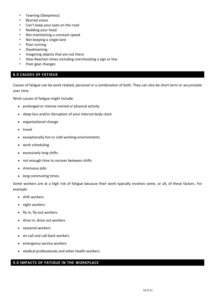- Yawning (Sleepiness)
- Blurred vision
- Can't keep your eyes on the road
- Nodding your head
- Not maintaining a constant speed
- Not keeping a single lane
- Poor turning
- Daydreaming
- Imagining objects that are not there
- Slow Reaction times including overshooting a sign or line
- Poor gear changes

#### **8.0 CAUSES OF FATIGUE**

Causes of fatigue can be work related, personal or a combination of both. They can also be short term or accumulate over time.

Work causes of fatigue might include:

- prolonged or intense mental or physical activity
- sleep loss and/or disruption of your internal body clock
- organisational change
- travel
- exceptionally hot or cold working environments
- work scheduling
- excessively long shifts
- not enough time to recover between shifts
- strenuous jobs
- long commuting times.

Some workers are at a high risk of fatigue because their work typically involves some, or all, of these factors. For example:

- shift workers
- night workers
- fly-in, fly-out workers
- drive in, drive out workers
- seasonal workers
- on-call and call-back workers
- emergency service workers
- medical professionals and other health workers.

#### **9.0 IMPACTS OF FATIGUE IN THE WORKPLACE**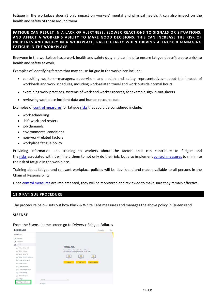Fatigue in the workplace doesn't only impact on workers' mental and physical health, it can also impact on the health and safety of those around them.

**FATIGUE CAN RESULT IN A LACK OF ALERTNESS, SLOWER REACTIONS TO SIGNALS OR SITUATIONS, AND AFFECT A WORKER'S ABILITY TO MAKE GOOD DECISIONS. THIS CAN INCREASE THE RISK OF INCIDENTS AND INJURY IN A WORKPLACE, PARTICULARLY WHEN DRIVING A TAXI10.0 MANAGING FATIGUE IN THE WORKPLACE**

Everyone in the workplace has a work health and safety duty and can help to ensure fatigue doesn't create a risk to health and safety at work.

Examples of identifying factors that may cause fatigue in the workplace include:

- consulting workers—managers, supervisors and health and safety representatives—about the impact of workloads and work schedules, including work-related travel and work outside normal hours
- examining work practices, systems of work and worker records, for example sign in-out sheets
- reviewing workplace incident data and human resource data.

Examples of [control measures](https://www.safeworkaustralia.gov.au/glossary#control_measures) for fatigue [risks](https://www.safeworkaustralia.gov.au/glossary#risks) that could be considered include:

- work scheduling
- shift work and rosters
- job demands
- environmental conditions
- non-work-related factors
- workplace fatigue policy

Providing information and training to workers about the factors that can contribute to fatigue and the [risks](https://www.safeworkaustralia.gov.au/glossary#risks) associated with it will help them to not only do their job, but also implement [control measures](https://www.safeworkaustralia.gov.au/glossary#control_measures) to minimise the risk of fatigue in the workplace.

Training about fatigue and relevant workplace policies will be developed and made available to all persons in the Chain of Responsibility.

Once [control measures](https://www.safeworkaustralia.gov.au/glossary#control_measures) are implemented, they will be monitored and reviewed to make sure they remain effective.

#### **11.0 FATIGUE PROCEDURE**

The procedure below sets out how Black & White Cabs measures and manages the above policy in Queensland.

#### **SISENSE**

From the Sisense home screen go to Drivers > Faitgue Failures

| <b>SISENSE</b>                         |            |                                                                                                 | Analytics     | Pulse |
|----------------------------------------|------------|-------------------------------------------------------------------------------------------------|---------------|-------|
| Dashboards                             |            |                                                                                                 |               |       |
| Bookings                               |            |                                                                                                 |               |       |
| Cy Customers                           |            |                                                                                                 |               |       |
| ps Drivers                             |            |                                                                                                 |               |       |
| Active Driver List                     |            | Welcome,                                                                                        |               |       |
| Driver Activity                        |            | Learn all about data and dashboards below, or<br>try one of the sample dashboards on the right. |               |       |
| In S Driver days > 10                  |            |                                                                                                 |               |       |
| Driver Licence Checking                |            | $\circ$<br>$\frac{1}{2}$<br>÷                                                                   |               |       |
| Ille <sup>C</sup> Driver Movements     |            |                                                                                                 |               |       |
| Inf Driver Points                      |            | Videos<br>Tutorials                                                                             | Documentation |       |
| ILS Driver Rankings                    |            |                                                                                                 |               |       |
| Illi <sup>€</sup> Driver Rating Emails |            |                                                                                                 |               |       |
| Illi <sup>≮</sup> Driver Ratings       |            |                                                                                                 |               |       |
| <sub>Ille</sub> € Driver Revenue       |            |                                                                                                 |               |       |
| i≞ <sup>&lt;</sup> Fatigue             | Search     | $\alpha$                                                                                        |               |       |
| Fatigue Failures                       | 14 Results |                                                                                                 |               |       |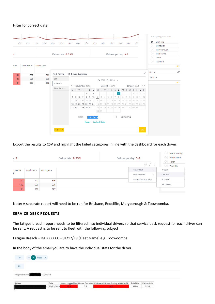#### Filter for correct date

| $10 -$ | $\Lambda$       | $12 -$<br>$U_1 \cdots$ | $03 -$<br>$02 -$<br>Failure rate: 0.33% | $0A$ | $05 -$                                                                                                           | 00                    | $07 -$ | $08 -$                          |               | $03$ | Failures per day: 3.0                     | $10 -$     | $\Lambda \Lambda$ |                     | $12 -$ |                                   |         |         | <b>O</b> Brisbane<br>$\bigcirc$ Mandurah<br>$\bigcirc$ Maryborough<br>$\bigcirc$ Melbourne |  |           |
|--------|-----------------|------------------------|-----------------------------------------|------|------------------------------------------------------------------------------------------------------------------|-----------------------|--------|---------------------------------|---------------|------|-------------------------------------------|------------|-------------------|---------------------|--------|-----------------------------------|---------|---------|--------------------------------------------------------------------------------------------|--|-----------|
| ours   | Total KM $\sim$ | KM on Jobs             |                                         |      |                                                                                                                  |                       |        |                                 |               |      |                                           |            |                   |                     |        |                                   |         | $\circ$ | Perth<br>$\bigcirc$ Redcliffe                                                              |  | $\bullet$ |
| 14.2   | 567             | 316                    | Edit Filter                             |      | <b>D</b> Driver Summary                                                                                          |                       |        |                                 |               |      |                                           |            |                   |                     |        | $\times$                          | Dates   |         |                                                                                            |  | 0         |
| 13.2   | 526             | 286                    | List                                    |      |                                                                                                                  |                       |        | Q4 2019 - Q1 2020 $\rightarrow$ |               |      |                                           |            |                   |                     |        |                                   | 12/1/19 |         |                                                                                            |  |           |
| 13.1   | 526             | 277                    | Calendar                                |      |                                                                                                                  |                       |        |                                 |               |      |                                           |            |                   |                     |        |                                   |         |         |                                                                                            |  | $\bullet$ |
|        |                 |                        | Time Frame                              |      | « < November 2019                                                                                                |                       |        |                                 | December 2019 |      |                                           |            |                   |                     |        | January 2020 $\rightarrow \infty$ |         |         |                                                                                            |  |           |
|        |                 |                        |                                         |      | M T W T F S S                                                                                                    |                       |        | M T W T                         |               | F    | $\overline{S}$<br>$\overline{\mathsf{S}}$ | M          | T W T F S S       |                     |        |                                   |         |         |                                                                                            |  |           |
|        |                 |                        |                                         |      |                                                                                                                  | $1 \quad 2 \quad 3$   |        |                                 |               |      |                                           |            |                   | $1 \ 2 \ 3 \ 4 \ 5$ |        |                                   |         |         |                                                                                            |  |           |
|        |                 |                        |                                         |      | $4$ 5 6 7 8 9 10 2 3 4 5 6 7 8 6 7 8 9 10 11 12<br>11 12 13 14 15 16 17 9 10 11 12 13 14 15 13 14 15 16 17 18 19 |                       |        |                                 |               |      |                                           |            |                   |                     |        |                                   |         |         |                                                                                            |  |           |
|        |                 |                        |                                         |      | 18 19 20 21 22 23 24 16 17 18 19 20 21 22 20 21 22 23 24 25 26                                                   |                       |        |                                 |               |      |                                           |            |                   |                     |        |                                   |         |         |                                                                                            |  |           |
|        |                 |                        |                                         |      | 25 26 27 28 29 30                                                                                                |                       |        |                                 |               |      | 23 24 25 26 27 28 29 27 28 29 30 31       |            |                   |                     |        |                                   |         |         |                                                                                            |  |           |
|        |                 |                        |                                         |      |                                                                                                                  |                       |        | 30 31                           |               |      |                                           |            |                   |                     |        |                                   |         |         |                                                                                            |  |           |
|        |                 |                        |                                         |      | From                                                                                                             | 12/01/2019            |        |                                 |               |      | To                                        | 12/01/2019 |                   |                     |        |                                   |         |         |                                                                                            |  |           |
|        |                 |                        |                                         |      |                                                                                                                  | Today   Earliest Date |        |                                 |               |      |                                           |            |                   |                     |        |                                   |         |         |                                                                                            |  |           |
|        |                 |                        | 12/1/19                                 |      |                                                                                                                  |                       |        |                                 |               |      |                                           |            |                   |                     |        | OK                                |         |         |                                                                                            |  |           |

Export the results to CSV and highlight the failed categories in line with the dashboard for each driver.

| 5:3          |                 |            | Failure rate: 0.33% | Failures per day: 3.0    | Maryborough<br>O.<br>$\circ$<br>Melbourne |
|--------------|-----------------|------------|---------------------|--------------------------|-------------------------------------------|
|              |                 |            |                     | 0 < 1                    | $\circ$<br>Perth<br>$\circ$<br>Redcliffe  |
| d Hours<br>t | Total KM $\sim$ | KM on Jobs |                     | Download<br>Get Insights | Image<br>CSV File                         |
| 14.2         | 567             | 316        |                     | Distribute equally i     | PDF File                                  |
| 13.2         | 526             | 286        |                     |                          | Excel File                                |
| 13.1         | 526             | 277        |                     |                          |                                           |

Note: A separate report will need to be run for Brisbane, Redcliffe, Maryborough & Toowoomba.

#### **SERVICE DESK REQUESTS**

The fatigue breach report needs to be filtered into individual drivers so that service desk request for each driver can be sent. A request is to be sent to fleet with the following subject

Fatigue Breach – DA XXXXXX – 01/12/19 (Fleet Name) e.g. Toowoomba

In the body of the email you are to have the individual stats for the driver.

| ${\tt To}$                     | Fleet X            |  |                                                                 |          |            |
|--------------------------------|--------------------|--|-----------------------------------------------------------------|----------|------------|
| $\epsilon$                     |                    |  |                                                                 |          |            |
| Fatigue Breach (2011) 12/01/19 |                    |  |                                                                 |          |            |
|                                |                    |  |                                                                 |          |            |
| Driver                         | Date<br>12/01/2019 |  | Hours Logged On Hours On Jobs Estimated Hours Driving at 40KM/H | Total KM | KM on Jobs |